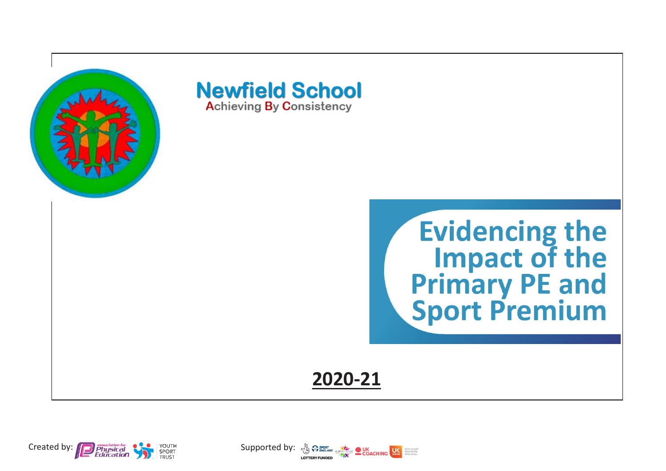

**Newfield School Achieving By Consistency** 



**2020-21**



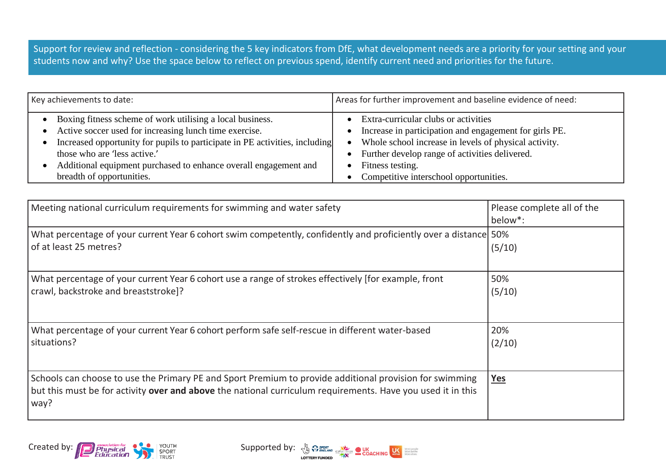Support for review and reflection - considering the 5 key indicators from DfE, what development needs are a priority for your setting and your students now and why? Use the space below to reflect on previous spend, identify current need and priorities for the future.

| Key achievements to date:                                                   | Areas for further improvement and baseline evidence of need: |  |
|-----------------------------------------------------------------------------|--------------------------------------------------------------|--|
| Boxing fitness scheme of work utilising a local business.                   | Extra-curricular clubs or activities                         |  |
| Active soccer used for increasing lunch time exercise.                      | Increase in participation and engagement for girls PE.       |  |
| Increased opportunity for pupils to participate in PE activities, including | Whole school increase in levels of physical activity.        |  |
| those who are 'less active.'                                                | Further develop range of activities delivered.               |  |
| Additional equipment purchased to enhance overall engagement and            | Fitness testing.                                             |  |
| breadth of opportunities.                                                   | Competitive interschool opportunities.                       |  |

| Meeting national curriculum requirements for swimming and water safety                                                                                                                                                         | Please complete all of the<br>below <sup>*</sup> : |
|--------------------------------------------------------------------------------------------------------------------------------------------------------------------------------------------------------------------------------|----------------------------------------------------|
| What percentage of your current Year 6 cohort swim competently, confidently and proficiently over a distance 50%<br>of at least 25 metres?                                                                                     | (5/10)                                             |
| What percentage of your current Year 6 cohort use a range of strokes effectively [for example, front<br>crawl, backstroke and breaststroke]?                                                                                   | 50%<br>(5/10)                                      |
| What percentage of your current Year 6 cohort perform safe self-rescue in different water-based<br>situations?                                                                                                                 | 20%<br>(2/10)                                      |
| Schools can choose to use the Primary PE and Sport Premium to provide additional provision for swimming<br>but this must be for activity over and above the national curriculum requirements. Have you used it in this<br>way? | Yes                                                |

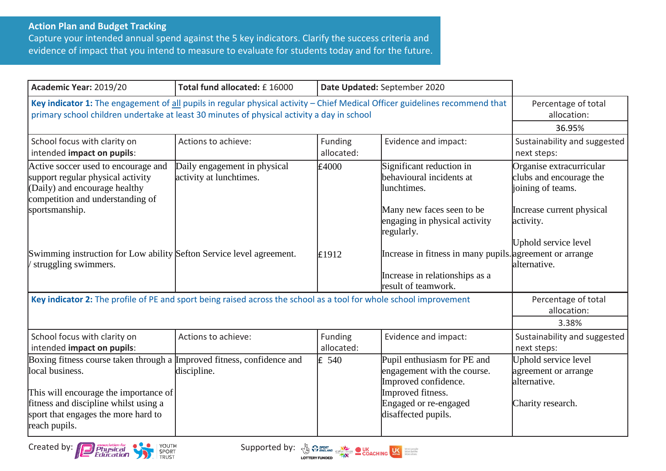## **Action Plan and Budget Tracking**

Capture your intended annual spend against the 5 key indicators. Clarify the success criteria and evidence of impact that you intend to measure to evaluate for students today and for the future.

| Academic Year: 2019/20                                                                                                                                                                                                              | Total fund allocated: £16000                            | Date Updated: September 2020 |                                                                                                                                                         |                                                                                   |
|-------------------------------------------------------------------------------------------------------------------------------------------------------------------------------------------------------------------------------------|---------------------------------------------------------|------------------------------|---------------------------------------------------------------------------------------------------------------------------------------------------------|-----------------------------------------------------------------------------------|
| Key indicator 1: The engagement of all pupils in regular physical activity - Chief Medical Officer guidelines recommend that<br>primary school children undertake at least 30 minutes of physical activity a day in school          | Percentage of total<br>allocation:<br>36.95%            |                              |                                                                                                                                                         |                                                                                   |
| School focus with clarity on<br>intended impact on pupils:                                                                                                                                                                          | Actions to achieve:                                     | Funding<br>allocated:        | Evidence and impact:                                                                                                                                    | Sustainability and suggested<br>next steps:                                       |
| Active soccer used to encourage and<br>support regular physical activity<br>(Daily) and encourage healthy<br>competition and understanding of                                                                                       | Daily engagement in physical<br>activity at lunchtimes. | £4000                        | Significant reduction in<br>behavioural incidents at<br>lunchtimes.                                                                                     | Organise extracurricular<br>clubs and encourage the<br>joining of teams.          |
| sportsmanship.                                                                                                                                                                                                                      |                                                         |                              | Many new faces seen to be<br>engaging in physical activity<br>regularly.                                                                                | Increase current physical<br>activity.                                            |
| Swimming instruction for Low ability Sefton Service level agreement.<br>struggling swimmers.                                                                                                                                        |                                                         | E1912                        | Increase in fitness in many pupils. agreement or arrange<br>Increase in relationships as a<br>result of teamwork.                                       | Uphold service level<br>alternative.                                              |
| Key indicator 2: The profile of PE and sport being raised across the school as a tool for whole school improvement                                                                                                                  |                                                         |                              |                                                                                                                                                         | Percentage of total<br>allocation:                                                |
| School focus with clarity on<br>intended impact on pupils:                                                                                                                                                                          | Actions to achieve:                                     | Funding<br>allocated:        | Evidence and impact:                                                                                                                                    | 3.38%<br>Sustainability and suggested<br>next steps:                              |
| Boxing fitness course taken through a Improved fitness, confidence and<br>local business.<br>This will encourage the importance of<br>fitness and discipline whilst using a<br>sport that engages the more hard to<br>reach pupils. | discipline.                                             | $\mathsf{E}$ 540             | Pupil enthusiasm for PE and<br>engagement with the course.<br>Improved confidence.<br>Improved fitness.<br>Engaged or re-engaged<br>disaffected pupils. | Uphold service level<br>agreement or arrange<br>alternative.<br>Charity research. |



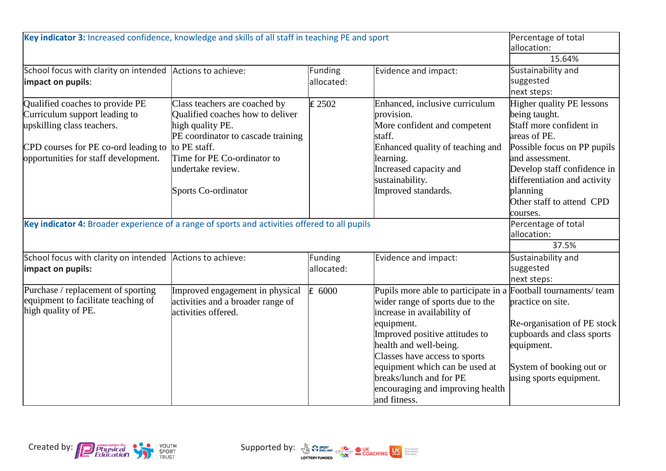| Key indicator 3: Increased confidence, knowledge and skills of all staff in teaching PE and sport                                                                              |                                                                                                                                                                                                                        |                       |                                                                                                                                                                                                                                                                                                                                                                | Percentage of total<br>allocation:                                                                                                                                                                                                                                  |
|--------------------------------------------------------------------------------------------------------------------------------------------------------------------------------|------------------------------------------------------------------------------------------------------------------------------------------------------------------------------------------------------------------------|-----------------------|----------------------------------------------------------------------------------------------------------------------------------------------------------------------------------------------------------------------------------------------------------------------------------------------------------------------------------------------------------------|---------------------------------------------------------------------------------------------------------------------------------------------------------------------------------------------------------------------------------------------------------------------|
| School focus with clarity on intended Actions to achieve:<br>impact on pupils:                                                                                                 |                                                                                                                                                                                                                        | Funding<br>allocated: | Evidence and impact:                                                                                                                                                                                                                                                                                                                                           | 15.64%<br>Sustainability and<br>suggested<br>next steps:                                                                                                                                                                                                            |
| Qualified coaches to provide PE<br>Curriculum support leading to<br>upskilling class teachers.<br>CPD courses for PE co-ord leading to<br>opportunities for staff development. | Class teachers are coached by<br>Qualified coaches how to deliver<br>high quality PE.<br>PE coordinator to cascade training<br>to PE staff.<br>Time for PE Co-ordinator to<br>undertake review.<br>Sports Co-ordinator | £ 2502                | Enhanced, inclusive curriculum<br>provision.<br>More confident and competent<br>staff.<br>Enhanced quality of teaching and<br>learning.<br>Increased capacity and<br>sustainability.<br>Improved standards.                                                                                                                                                    | <b>Higher quality PE lessons</b><br>being taught.<br>Staff more confident in<br>lareas of PE.<br>Possible focus on PP pupils<br>and assessment.<br>Develop staff confidence in<br>differentiation and activity<br>planning<br>Other staff to attend CPD<br>courses. |
| Key indicator 4: Broader experience of a range of sports and activities offered to all pupils                                                                                  | Percentage of total<br>allocation:<br>37.5%                                                                                                                                                                            |                       |                                                                                                                                                                                                                                                                                                                                                                |                                                                                                                                                                                                                                                                     |
| School focus with clarity on intended<br>impact on pupils:                                                                                                                     | Actions to achieve:                                                                                                                                                                                                    | Funding<br>allocated: | Evidence and impact:                                                                                                                                                                                                                                                                                                                                           | Sustainability and<br>suggested<br>next steps:                                                                                                                                                                                                                      |
| Purchase / replacement of sporting<br>equipment to facilitate teaching of<br>high quality of PE.                                                                               | Improved engagement in physical<br>activities and a broader range of<br>activities offered.                                                                                                                            | $\mathsf{E}$ 6000     | Pupils more able to participate in a Football tournaments/ team<br>wider range of sports due to the<br>increase in availability of<br>equipment.<br>Improved positive attitudes to<br>health and well-being.<br>Classes have access to sports<br>equipment which can be used at<br>breaks/lunch and for PE<br>encouraging and improving health<br>and fitness. | practice on site.<br>Re-organisation of PE stock<br>cupboards and class sports<br>equipment.<br>System of booking out or<br>using sports equipment.                                                                                                                 |